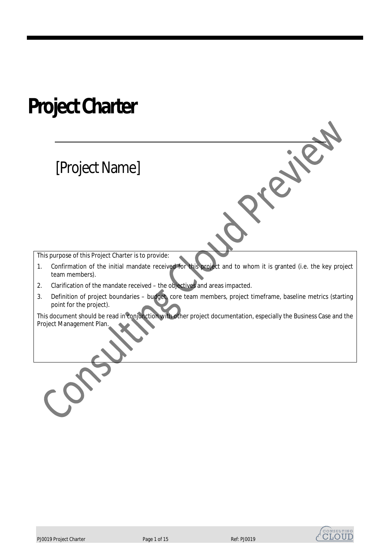## **Project Charter**

## [Project Name]

This purpose of this Project Charter is to provide:

1. Confirmation of the initial mandate received for this project and to whom it is granted (i.e. the key project team members).

**Siley** 

- 2. Clarification of the mandate received the objectives and areas impacted.
- 3. Definition of project boundaries budget, core team members, project timeframe, baseline metrics (starting point for the project).

This document should be read in conjunction with other project documentation, especially the Business Case and the Project Management Plan.

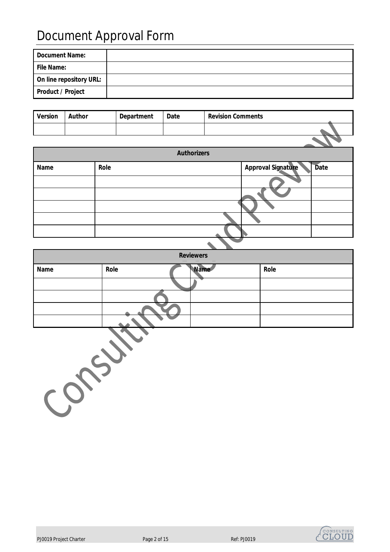## Document Approval Form

| Document Name:           |  |
|--------------------------|--|
| File Name:               |  |
| On line repository URL:  |  |
| <b>Product / Project</b> |  |

| <b>Version</b> | Author | <b>Department</b> | Date | <b>Revision Comments</b> |  |
|----------------|--------|-------------------|------|--------------------------|--|
|                |        |                   |      |                          |  |
|                |        |                   |      |                          |  |

|      |      | <b>Authorizers</b>                       |
|------|------|------------------------------------------|
| Name | Role | <b>Approval Signature</b><br><b>Date</b> |
|      |      |                                          |
|      |      |                                          |
|      |      |                                          |
|      |      |                                          |
|      |      |                                          |
|      |      |                                          |

| <b>Reviewers</b> |      |  |             |      |  |  |
|------------------|------|--|-------------|------|--|--|
| <b>Name</b>      | Role |  | <b>Name</b> | Role |  |  |
|                  |      |  |             |      |  |  |
|                  |      |  |             |      |  |  |
|                  |      |  |             |      |  |  |
|                  |      |  |             |      |  |  |